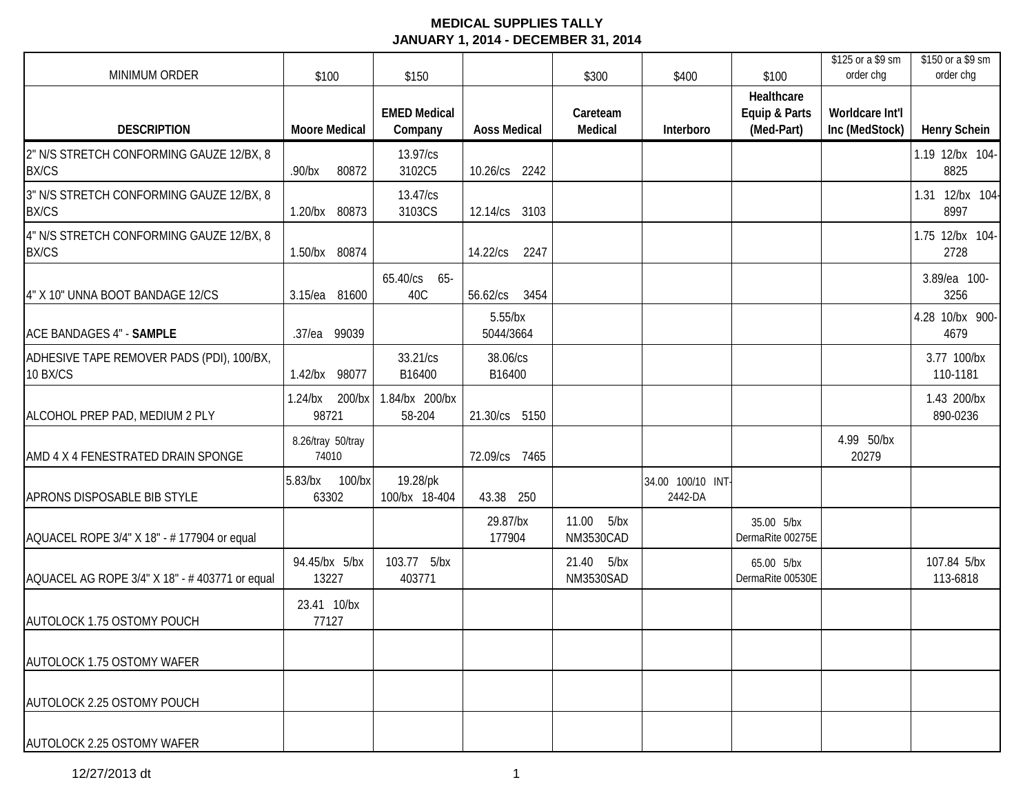| MINIMUM ORDER                                            | \$100                         | \$150                          |                         | \$300                          | \$400                        | \$100                                     | \$125 or a \$9 sm<br>order chg    | \$150 or a \$9 sm<br>order chg |
|----------------------------------------------------------|-------------------------------|--------------------------------|-------------------------|--------------------------------|------------------------------|-------------------------------------------|-----------------------------------|--------------------------------|
| <b>DESCRIPTION</b>                                       | <b>Moore Medical</b>          | <b>EMED Medical</b><br>Company | <b>Aoss Medical</b>     | Careteam<br>Medical            | Interboro                    | Healthcare<br>Equip & Parts<br>(Med-Part) | Worldcare Int'l<br>Inc (MedStock) | <b>Henry Schein</b>            |
| 2" N/S STRETCH CONFORMING GAUZE 12/BX, 8<br><b>BX/CS</b> | 80872<br>$.90$ /bx            | 13.97/cs<br>3102C5             | 10.26/cs 2242           |                                |                              |                                           |                                   | 1.19 12/bx 104-<br>8825        |
| 3" N/S STRETCH CONFORMING GAUZE 12/BX, 8<br><b>BX/CS</b> | 1.20/bx 80873                 | 13.47/cs<br>3103CS             | 12.14/cs 3103           |                                |                              |                                           |                                   | 1.31 12/bx 104-<br>8997        |
| 4" N/S STRETCH CONFORMING GAUZE 12/BX, 8<br><b>BX/CS</b> | 1.50/bx 80874                 |                                | 14.22/cs<br>2247        |                                |                              |                                           |                                   | 1.75 12/bx 104-<br>2728        |
| 4" X 10" UNNA BOOT BANDAGE 12/CS                         | 3.15/ea 81600                 | 65.40/cs 65-<br>40C            | 56.62/cs<br>3454        |                                |                              |                                           |                                   | 3.89/ea 100-<br>3256           |
| ACE BANDAGES 4" - SAMPLE                                 | .37/ea 99039                  |                                | $5.55$ /bx<br>5044/3664 |                                |                              |                                           |                                   | 4.28 10/bx 900-<br>4679        |
| ADHESIVE TAPE REMOVER PADS (PDI), 100/BX,<br>10 BX/CS    | 1.42/bx 98077                 | 33.21/cs<br>B16400             | 38.06/cs<br>B16400      |                                |                              |                                           |                                   | 3.77 100/bx<br>110-1181        |
| ALCOHOL PREP PAD, MEDIUM 2 PLY                           | 200/bx<br>$1.24$ /bx<br>98721 | 1.84/bx 200/bx<br>58-204       | 21.30/cs 5150           |                                |                              |                                           |                                   | 1.43 200/bx<br>890-0236        |
| AMD 4 X 4 FENESTRATED DRAIN SPONGE                       | 8.26/tray 50/tray<br>74010    |                                | 72.09/cs 7465           |                                |                              |                                           | 4.99 50/bx<br>20279               |                                |
| APRONS DISPOSABLE BIB STYLE                              | 5.83/bx 100/bx<br>63302       | 19.28/pk<br>100/bx 18-404      | 43.38 250               |                                | 34.00 100/10 INT-<br>2442-DA |                                           |                                   |                                |
| AQUACEL ROPE 3/4" X 18" - # 177904 or equal              |                               |                                | 29.87/bx<br>177904      | 11.00<br>5/bx<br>NM3530CAD     |                              | 35.00 5/bx<br>DermaRite 00275E            |                                   |                                |
| AQUACEL AG ROPE 3/4" X 18" - #403771 or equal            | 94.45/bx 5/bx<br>13227        | 103.77 5/bx<br>403771          |                         | 21.40 5/bx<br><b>NM3530SAD</b> |                              | 65.00 5/bx<br>DermaRite 00530E            |                                   | 107.84 5/bx<br>113-6818        |
| AUTOLOCK 1.75 OSTOMY POUCH                               | 23.41 10/bx<br>77127          |                                |                         |                                |                              |                                           |                                   |                                |
| AUTOLOCK 1.75 OSTOMY WAFER                               |                               |                                |                         |                                |                              |                                           |                                   |                                |
| AUTOLOCK 2.25 OSTOMY POUCH                               |                               |                                |                         |                                |                              |                                           |                                   |                                |
| AUTOLOCK 2.25 OSTOMY WAFER                               |                               |                                |                         |                                |                              |                                           |                                   |                                |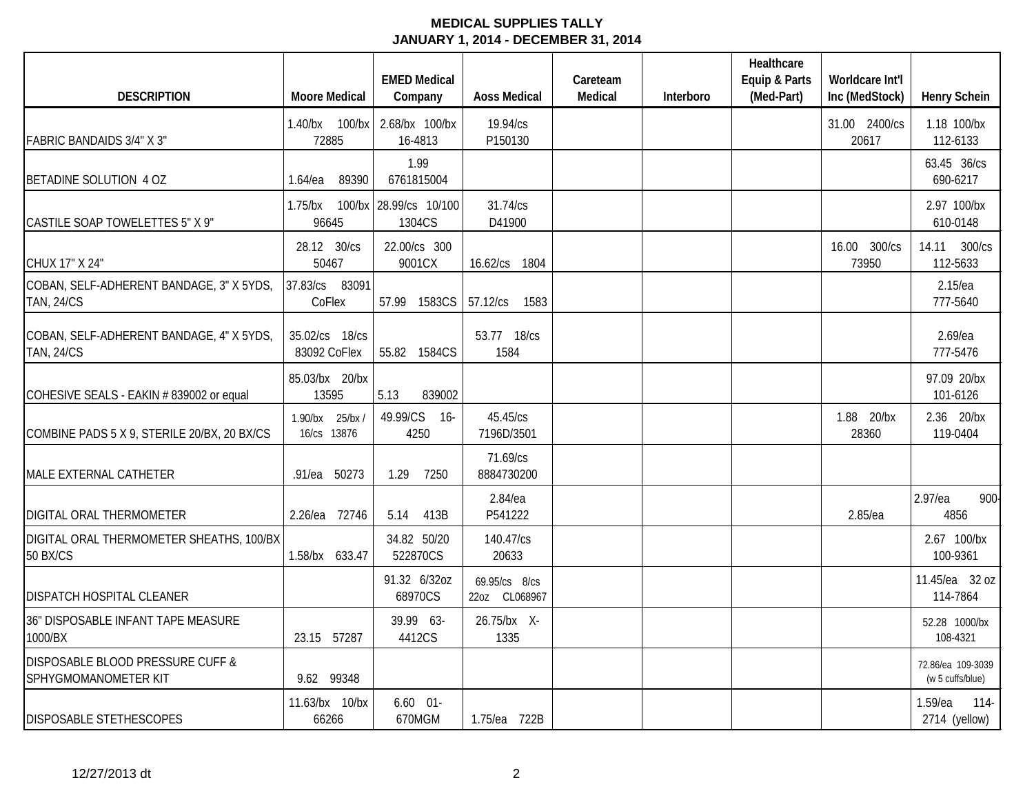|                                                               |                                | <b>EMED Medical</b>              |                                | Careteam |           | Healthcare<br>Equip & Parts | Worldcare Int'l        |                                       |
|---------------------------------------------------------------|--------------------------------|----------------------------------|--------------------------------|----------|-----------|-----------------------------|------------------------|---------------------------------------|
| <b>DESCRIPTION</b>                                            | <b>Moore Medical</b>           | Company                          | <b>Aoss Medical</b>            | Medical  | Interboro | (Med-Part)                  | Inc (MedStock)         | <b>Henry Schein</b>                   |
| <b>FABRIC BANDAIDS 3/4" X 3"</b>                              | 1.40/bx 100/bx<br>72885        | 2.68/bx 100/bx<br>16-4813        | 19.94/cs<br>P150130            |          |           |                             | 31.00 2400/cs<br>20617 | 1.18 100/bx<br>112-6133               |
| BETADINE SOLUTION 4 OZ                                        | 1.64/ea<br>89390               | 1.99<br>6761815004               |                                |          |           |                             |                        | 63.45 36/cs<br>690-6217               |
| CASTILE SOAP TOWELETTES 5" X 9"                               | 1.75/bx<br>96645               | 100/bx 28.99/cs 10/100<br>1304CS | 31.74/cs<br>D41900             |          |           |                             |                        | 2.97 100/bx<br>610-0148               |
| CHUX 17" X 24"                                                | 28.12 30/cs<br>50467           | 22.00/cs 300<br>9001CX           | 16.62/cs 1804                  |          |           |                             | 16.00 300/cs<br>73950  | 14.11 300/cs<br>112-5633              |
| COBAN, SELF-ADHERENT BANDAGE, 3" X 5YDS,<br><b>TAN, 24/CS</b> | 83091<br>37.83/cs<br>CoFlex    | 57.99 1583CS                     | 57.12/cs<br>1583               |          |           |                             |                        | 2.15/ea<br>777-5640                   |
| COBAN, SELF-ADHERENT BANDAGE, 4" X 5YDS,<br><b>TAN, 24/CS</b> | 35.02/cs 18/cs<br>83092 CoFlex | 55.82 1584CS                     | 53.77 18/cs<br>1584            |          |           |                             |                        | 2.69/ea<br>777-5476                   |
| COHESIVE SEALS - EAKIN # 839002 or equal                      | 85.03/bx 20/bx<br>13595        | 5.13<br>839002                   |                                |          |           |                             |                        | 97.09 20/bx<br>101-6126               |
| COMBINE PADS 5 X 9, STERILE 20/BX, 20 BX/CS                   | 1.90/bx 25/bx/<br>16/cs 13876  | 49.99/CS<br>$16-$<br>4250        | 45.45/cs<br>7196D/3501         |          |           |                             | 1.88 20/bx<br>28360    | 2.36 20/bx<br>119-0404                |
| MALE EXTERNAL CATHETER                                        | .91/ea 50273                   | 7250<br>1.29                     | 71.69/cs<br>8884730200         |          |           |                             |                        |                                       |
| DIGITAL ORAL THERMOMETER                                      | 2.26/ea 72746                  | 413B<br>5.14                     | 2.84/ea<br>P541222             |          |           |                             | 2.85/ea                | 2.97/ea<br>900-<br>4856               |
| DIGITAL ORAL THERMOMETER SHEATHS, 100/BX<br><b>50 BX/CS</b>   | 1.58/bx 633.47                 | 34.82 50/20<br>522870CS          | 140.47/cs<br>20633             |          |           |                             |                        | 2.67 100/bx<br>100-9361               |
| DISPATCH HOSPITAL CLEANER                                     |                                | 91.32 6/32oz<br>68970CS          | 69.95/cs 8/cs<br>22oz CL068967 |          |           |                             |                        | 11.45/ea 32 oz<br>114-7864            |
| 36" DISPOSABLE INFANT TAPE MEASURE<br>1000/BX                 | 23.15 57287                    | 39.99 63-<br>4412CS              | 26.75/bx X-<br>1335            |          |           |                             |                        | 52.28 1000/bx<br>108-4321             |
| DISPOSABLE BLOOD PRESSURE CUFF &<br>SPHYGMOMANOMETER KIT      | 9.62 99348                     |                                  |                                |          |           |                             |                        | 72.86/ea 109-3039<br>(w 5 cuffs/blue) |
| <b>DISPOSABLE STETHESCOPES</b>                                | 11.63/bx 10/bx<br>66266        | $6.60$ $01-$<br>670MGM           | 1.75/ea 722B                   |          |           |                             |                        | 1.59/ea<br>$114-$<br>2714 (yellow)    |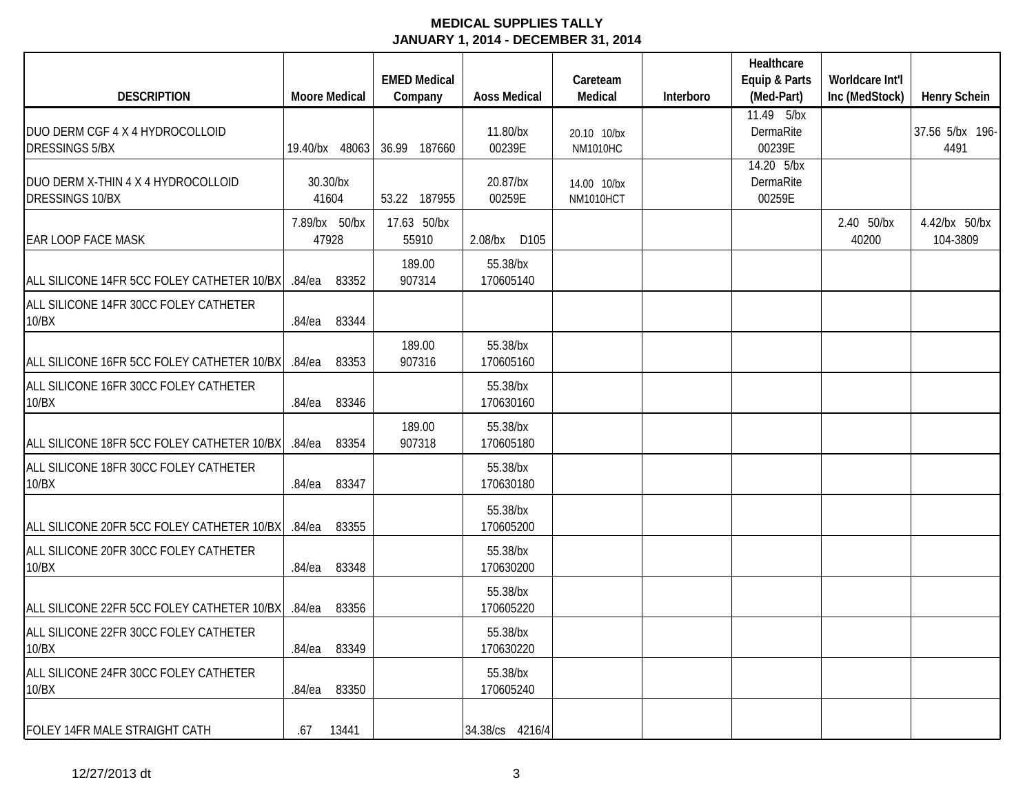|                                                          |                        | <b>EMED Medical</b>  |                       | Careteam                       |           | Healthcare<br>Equip & Parts       | Worldcare Int'l     |                           |
|----------------------------------------------------------|------------------------|----------------------|-----------------------|--------------------------------|-----------|-----------------------------------|---------------------|---------------------------|
| <b>DESCRIPTION</b>                                       | <b>Moore Medical</b>   | Company              | <b>Aoss Medical</b>   | Medical                        | Interboro | (Med-Part)                        | Inc (MedStock)      | <b>Henry Schein</b>       |
| DUO DERM CGF 4 X 4 HYDROCOLLOID<br><b>DRESSINGS 5/BX</b> | 19.40/bx 48063         | 36.99 187660         | 11.80/bx<br>00239E    | 20.10 10/bx<br><b>NM1010HC</b> |           | 11.49 5/bx<br>DermaRite<br>00239E |                     | 37.56 5/bx 196-<br>4491   |
| DUO DERM X-THIN 4 X 4 HYDROCOLLOID<br>DRESSINGS 10/BX    | 30.30/bx<br>41604      | 53.22 187955         | 20.87/bx<br>00259E    | 14.00 10/bx<br>NM1010HCT       |           | 14.20 5/bx<br>DermaRite<br>00259E |                     |                           |
| <b>EAR LOOP FACE MASK</b>                                | 7.89/bx 50/bx<br>47928 | 17.63 50/bx<br>55910 | $2.08$ /bx<br>D105    |                                |           |                                   | 2.40 50/bx<br>40200 | 4.42/bx 50/bx<br>104-3809 |
| ALL SILICONE 14FR 5CC FOLEY CATHETER 10/BX               | 83352<br>.84/ea        | 189.00<br>907314     | 55.38/bx<br>170605140 |                                |           |                                   |                     |                           |
| ALL SILICONE 14FR 30CC FOLEY CATHETER<br>10/BX           | $.84$ /ea<br>83344     |                      |                       |                                |           |                                   |                     |                           |
| ALL SILICONE 16FR 5CC FOLEY CATHETER 10/BX               | 83353<br>.84/ea        | 189.00<br>907316     | 55.38/bx<br>170605160 |                                |           |                                   |                     |                           |
| ALL SILICONE 16FR 30CC FOLEY CATHETER<br>10/BX           | 83346<br>$.84$ /ea     |                      | 55.38/bx<br>170630160 |                                |           |                                   |                     |                           |
| ALL SILICONE 18FR 5CC FOLEY CATHETER 10/BX               | 83354<br>$.84$ /ea     | 189.00<br>907318     | 55.38/bx<br>170605180 |                                |           |                                   |                     |                           |
| ALL SILICONE 18FR 30CC FOLEY CATHETER<br>10/BX           | 83347<br>.84/ea        |                      | 55.38/bx<br>170630180 |                                |           |                                   |                     |                           |
| ALL SILICONE 20FR 5CC FOLEY CATHETER 10/BX               | 83355<br>$.84$ /ea     |                      | 55.38/bx<br>170605200 |                                |           |                                   |                     |                           |
| ALL SILICONE 20FR 30CC FOLEY CATHETER<br>10/BX           | $.84$ /ea<br>83348     |                      | 55.38/bx<br>170630200 |                                |           |                                   |                     |                           |
| ALL SILICONE 22FR 5CC FOLEY CATHETER 10/BX               | 83356<br>$.84$ /ea     |                      | 55.38/bx<br>170605220 |                                |           |                                   |                     |                           |
| ALL SILICONE 22FR 30CC FOLEY CATHETER<br>10/BX           | 83349<br>$.84$ /ea     |                      | 55.38/bx<br>170630220 |                                |           |                                   |                     |                           |
| ALL SILICONE 24FR 30CC FOLEY CATHETER<br>10/BX           | $.84$ /ea<br>83350     |                      | 55.38/bx<br>170605240 |                                |           |                                   |                     |                           |
| FOLEY 14FR MALE STRAIGHT CATH                            | 13441<br>.67           |                      | 34.38/cs 4216/4       |                                |           |                                   |                     |                           |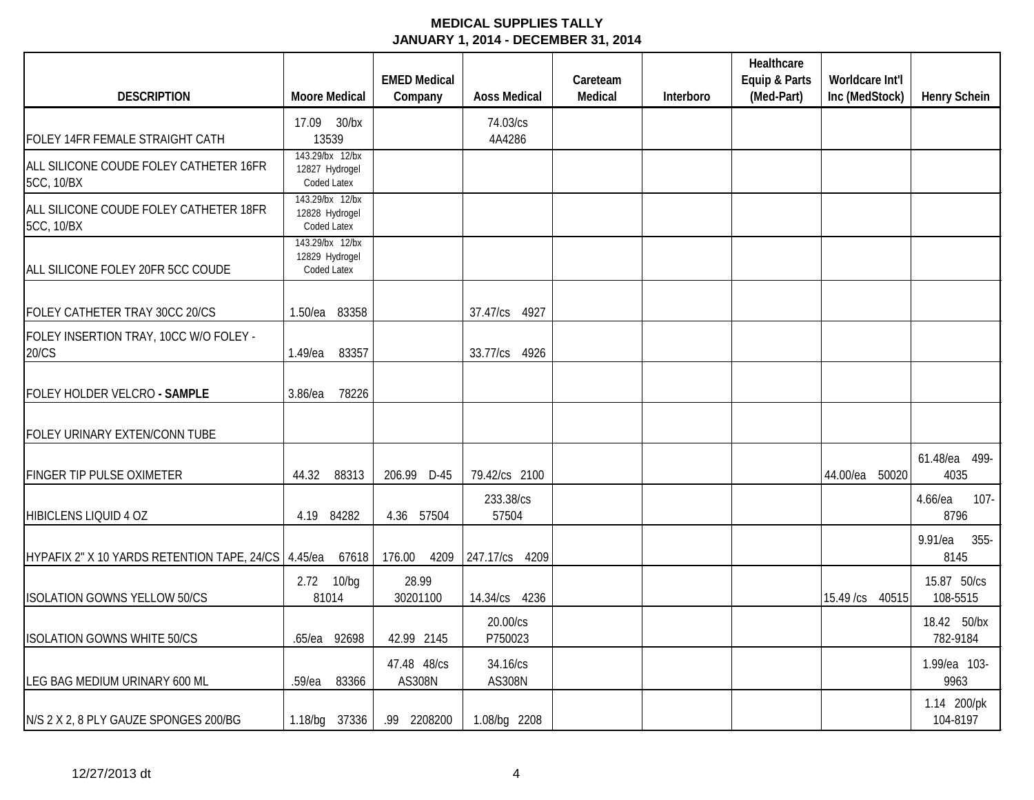|                                                      |                                                  | <b>EMED Medical</b>          |                           | Careteam |           | Healthcare<br>Equip & Parts | Worldcare Int'l   |                            |
|------------------------------------------------------|--------------------------------------------------|------------------------------|---------------------------|----------|-----------|-----------------------------|-------------------|----------------------------|
| <b>DESCRIPTION</b>                                   | <b>Moore Medical</b>                             | Company                      | <b>Aoss Medical</b>       | Medical  | Interboro | (Med-Part)                  | Inc (MedStock)    | <b>Henry Schein</b>        |
| FOLEY 14FR FEMALE STRAIGHT CATH                      | 17.09 30/bx<br>13539                             |                              | 74.03/cs<br>4A4286        |          |           |                             |                   |                            |
| ALL SILICONE COUDE FOLEY CATHETER 16FR<br>5CC, 10/BX | 143.29/bx 12/bx<br>12827 Hydrogel<br>Coded Latex |                              |                           |          |           |                             |                   |                            |
| ALL SILICONE COUDE FOLEY CATHETER 18FR<br>5CC, 10/BX | 143.29/bx 12/bx<br>12828 Hydrogel<br>Coded Latex |                              |                           |          |           |                             |                   |                            |
| ALL SILICONE FOLEY 20FR 5CC COUDE                    | 143.29/bx 12/bx<br>12829 Hydrogel<br>Coded Latex |                              |                           |          |           |                             |                   |                            |
| FOLEY CATHETER TRAY 30CC 20/CS                       | 83358<br>$1.50$ /ea                              |                              | 37.47/cs 4927             |          |           |                             |                   |                            |
| FOLEY INSERTION TRAY, 10CC W/O FOLEY -<br>20/CS      | 83357<br>1.49/ea                                 |                              | 33.77/cs 4926             |          |           |                             |                   |                            |
| FOLEY HOLDER VELCRO - SAMPLE                         | 78226<br>3.86/ea                                 |                              |                           |          |           |                             |                   |                            |
| FOLEY URINARY EXTEN/CONN TUBE                        |                                                  |                              |                           |          |           |                             |                   |                            |
| <b>FINGER TIP PULSE OXIMETER</b>                     | 44.32<br>88313                                   | 206.99 D-45                  | 79.42/cs 2100             |          |           |                             | 44.00/ea<br>50020 | 61.48/ea 499-<br>4035      |
| HIBICLENS LIQUID 4 OZ                                | 4.19 84282                                       | 4.36 57504                   | 233.38/cs<br>57504        |          |           |                             |                   | 4.66/ea<br>$107 -$<br>8796 |
| HYPAFIX 2" X 10 YARDS RETENTION TAPE, 24/CS 4.45/ea  | 67618                                            | 176.00                       | 4209 247.17/cs 4209       |          |           |                             |                   | $9.91$ /ea<br>355-<br>8145 |
| <b>ISOLATION GOWNS YELLOW 50/CS</b>                  | 2.72 10/bg<br>81014                              | 28.99<br>30201100            | 14.34/cs 4236             |          |           |                             | 15.49 /cs 40515   | 15.87 50/cs<br>108-5515    |
| <b>ISOLATION GOWNS WHITE 50/CS</b>                   | .65/ea 92698                                     | 42.99 2145                   | 20.00/cs<br>P750023       |          |           |                             |                   | 18.42 50/bx<br>782-9184    |
| LEG BAG MEDIUM URINARY 600 ML                        | 83366<br>.59/ea                                  | 47.48 48/cs<br><b>AS308N</b> | 34.16/cs<br><b>AS308N</b> |          |           |                             |                   | 1.99/ea 103-<br>9963       |
| N/S 2 X 2, 8 PLY GAUZE SPONGES 200/BG                | 1.18/bg 37336                                    | .99 2208200                  | 1.08/bg 2208              |          |           |                             |                   | 1.14 200/pk<br>104-8197    |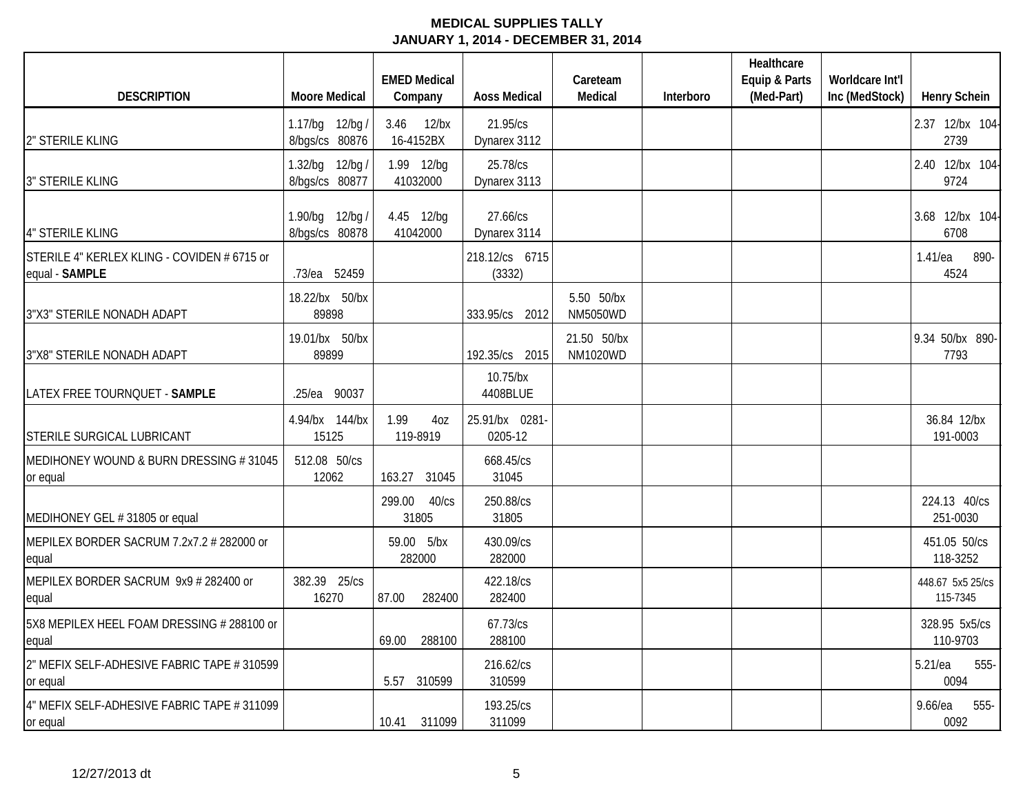|                                                               |                                   | <b>EMED Medical</b>            |                           | Careteam                       |           | Healthcare<br>Equip & Parts | Worldcare Int'l |                              |
|---------------------------------------------------------------|-----------------------------------|--------------------------------|---------------------------|--------------------------------|-----------|-----------------------------|-----------------|------------------------------|
| <b>DESCRIPTION</b>                                            | <b>Moore Medical</b>              | Company                        | <b>Aoss Medical</b>       | Medical                        | Interboro | (Med-Part)                  | Inc (MedStock)  | <b>Henry Schein</b>          |
| 2" STERILE KLING                                              | 1.17/bg 12/bg /<br>8/bgs/cs 80876 | 3.46<br>$12$ /bx<br>16-4152BX  | 21.95/cs<br>Dynarex 3112  |                                |           |                             |                 | 2.37 12/bx 104-<br>2739      |
| <b>3" STERILE KLING</b>                                       | 1.32/bg 12/bg /<br>8/bgs/cs 80877 | 1.99 12/bg<br>41032000         | 25.78/cs<br>Dynarex 3113  |                                |           |                             |                 | 2.40 12/bx 104-<br>9724      |
| 4" STERILE KLING                                              | 1.90/bg 12/bg /<br>8/bgs/cs 80878 | 4.45 12/bg<br>41042000         | 27.66/cs<br>Dynarex 3114  |                                |           |                             |                 | 3.68 12/bx 104-<br>6708      |
| STERILE 4" KERLEX KLING - COVIDEN # 6715 or<br>equal - SAMPLE | .73/ea 52459                      |                                | 218.12/cs 6715<br>(3332)  |                                |           |                             |                 | 1.41/ea<br>890-<br>4524      |
| 3"X3" STERILE NONADH ADAPT                                    | 18.22/bx 50/bx<br>89898           |                                | 333.95/cs 2012            | 5.50 50/bx<br><b>NM5050WD</b>  |           |                             |                 |                              |
| 3"X8" STERILE NONADH ADAPT                                    | 19.01/bx 50/bx<br>89899           |                                | 192.35/cs 2015            | 21.50 50/bx<br><b>NM1020WD</b> |           |                             |                 | 9.34 50/bx 890-<br>7793      |
| LATEX FREE TOURNQUET - SAMPLE                                 | .25/ea 90037                      |                                | 10.75/bx<br>4408BLUE      |                                |           |                             |                 |                              |
| STERILE SURGICAL LUBRICANT                                    | 4.94/bx 144/bx<br>15125           | 1.99<br>4oz<br>119-8919        | 25.91/bx 0281-<br>0205-12 |                                |           |                             |                 | 36.84 12/bx<br>191-0003      |
| MEDIHONEY WOUND & BURN DRESSING #31045<br>or equal            | 512.08 50/cs<br>12062             | 163.27 31045                   | 668.45/cs<br>31045        |                                |           |                             |                 |                              |
| MEDIHONEY GEL #31805 or equal                                 |                                   | 299.00<br>$40$ / $cs$<br>31805 | 250.88/cs<br>31805        |                                |           |                             |                 | 224.13 40/cs<br>251-0030     |
| MEPILEX BORDER SACRUM 7.2x7.2 # 282000 or<br>equal            |                                   | 59.00 5/bx<br>282000           | 430.09/cs<br>282000       |                                |           |                             |                 | 451.05 50/cs<br>118-3252     |
| MEPILEX BORDER SACRUM 9x9 # 282400 or<br>equal                | 382.39 25/cs<br>16270             | 87.00<br>282400                | 422.18/cs<br>282400       |                                |           |                             |                 | 448.67 5x5 25/cs<br>115-7345 |
| 5X8 MEPILEX HEEL FOAM DRESSING # 288100 or<br>equal           |                                   | 69.00<br>288100                | 67.73/cs<br>288100        |                                |           |                             |                 | 328.95 5x5/cs<br>110-9703    |
| 2" MEFIX SELF-ADHESIVE FABRIC TAPE # 310599<br>or equal       |                                   | 5.57 310599                    | 216.62/cs<br>310599       |                                |           |                             |                 | $5.21$ /ea<br>555-<br>0094   |
| 4" MEFIX SELF-ADHESIVE FABRIC TAPE # 311099<br>or equal       |                                   | 10.41 311099                   | 193.25/cs<br>311099       |                                |           |                             |                 | $9.66$ /ea<br>555-<br>0092   |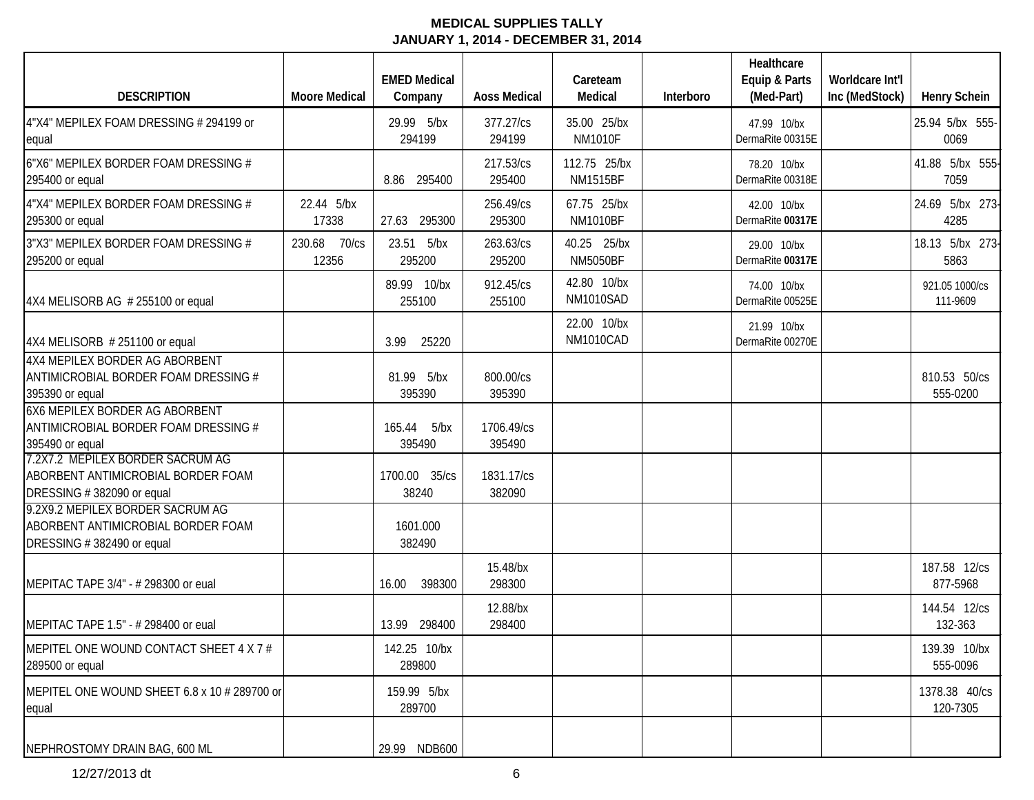|                                                                                                     |                          | <b>EMED Medical</b>      |                      | Careteam                        |           | Healthcare<br>Equip & Parts     | Worldcare Int'l |                            |
|-----------------------------------------------------------------------------------------------------|--------------------------|--------------------------|----------------------|---------------------------------|-----------|---------------------------------|-----------------|----------------------------|
| <b>DESCRIPTION</b>                                                                                  | <b>Moore Medical</b>     | Company                  | <b>Aoss Medical</b>  | Medical                         | Interboro | (Med-Part)                      | Inc (MedStock)  | <b>Henry Schein</b>        |
| 4"X4" MEPILEX FOAM DRESSING # 294199 or<br>equal                                                    |                          | 29.99 5/bx<br>294199     | 377.27/cs<br>294199  | 35.00 25/bx<br><b>NM1010F</b>   |           | 47.99 10/bx<br>DermaRite 00315E |                 | 25.94 5/bx 555-<br>0069    |
| 6"X6" MEPILEX BORDER FOAM DRESSING #<br>295400 or equal                                             |                          | 8.86 295400              | 217.53/cs<br>295400  | 112.75 25/bx<br><b>NM1515BF</b> |           | 78.20 10/bx<br>DermaRite 00318E |                 | 41.88 5/bx 555-<br>7059    |
| 4"X4" MEPILEX BORDER FOAM DRESSING #<br>295300 or equal                                             | 22.44 5/bx<br>17338      | 27.63 295300             | 256.49/cs<br>295300  | 67.75 25/bx<br><b>NM1010BF</b>  |           | 42.00 10/bx<br>DermaRite 00317E |                 | 24.69 5/bx 273-<br>4285    |
| 3"X3" MEPILEX BORDER FOAM DRESSING #<br>295200 or equal                                             | 70/cs<br>230.68<br>12356 | 23.51 5/bx<br>295200     | 263.63/cs<br>295200  | 40.25 25/bx<br><b>NM5050BF</b>  |           | 29.00 10/bx<br>DermaRite 00317E |                 | 18.13 5/bx 273-<br>5863    |
| 4X4 MELISORB AG # 255100 or equal                                                                   |                          | 89.99 10/bx<br>255100    | 912.45/cs<br>255100  | 42.80 10/bx<br>NM1010SAD        |           | 74.00 10/bx<br>DermaRite 00525E |                 | 921.05 1000/cs<br>111-9609 |
| 4X4 MELISORB #251100 or equal                                                                       |                          | 3.99<br>25220            |                      | 22.00 10/bx<br>NM1010CAD        |           | 21.99 10/bx<br>DermaRite 00270E |                 |                            |
| 4X4 MEPILEX BORDER AG ABORBENT<br>ANTIMICROBIAL BORDER FOAM DRESSING #<br>395390 or equal           |                          | 81.99 5/bx<br>395390     | 800.00/cs<br>395390  |                                 |           |                                 |                 | 810.53 50/cs<br>555-0200   |
| 6X6 MEPILEX BORDER AG ABORBENT<br>ANTIMICROBIAL BORDER FOAM DRESSING #<br>395490 or equal           |                          | 165.44<br>5/bx<br>395490 | 1706.49/cs<br>395490 |                                 |           |                                 |                 |                            |
| 7.2X7.2 MEPILEX BORDER SACRUM AG<br>ABORBENT ANTIMICROBIAL BORDER FOAM<br>DRESSING #382090 or equal |                          | 1700.00 35/cs<br>38240   | 1831.17/cs<br>382090 |                                 |           |                                 |                 |                            |
| 9.2X9.2 MEPILEX BORDER SACRUM AG<br>ABORBENT ANTIMICROBIAL BORDER FOAM<br>DRESSING #382490 or equal |                          | 1601.000<br>382490       |                      |                                 |           |                                 |                 |                            |
| MEPITAC TAPE 3/4" - # 298300 or eual                                                                |                          | 398300<br>16.00          | 15.48/bx<br>298300   |                                 |           |                                 |                 | 187.58 12/cs<br>877-5968   |
| MEPITAC TAPE 1.5" - # 298400 or eual                                                                |                          | 13.99 298400             | 12.88/bx<br>298400   |                                 |           |                                 |                 | 144.54 12/cs<br>132-363    |
| MEPITEL ONE WOUND CONTACT SHEET 4 X 7 #<br>289500 or equal                                          |                          | 142.25 10/bx<br>289800   |                      |                                 |           |                                 |                 | 139.39 10/bx<br>555-0096   |
| MEPITEL ONE WOUND SHEET 6.8 x 10 # 289700 or<br>equal                                               |                          | 159.99 5/bx<br>289700    |                      |                                 |           |                                 |                 | 1378.38 40/cs<br>120-7305  |
| NEPHROSTOMY DRAIN BAG, 600 ML                                                                       |                          | 29.99 NDB600             |                      |                                 |           |                                 |                 |                            |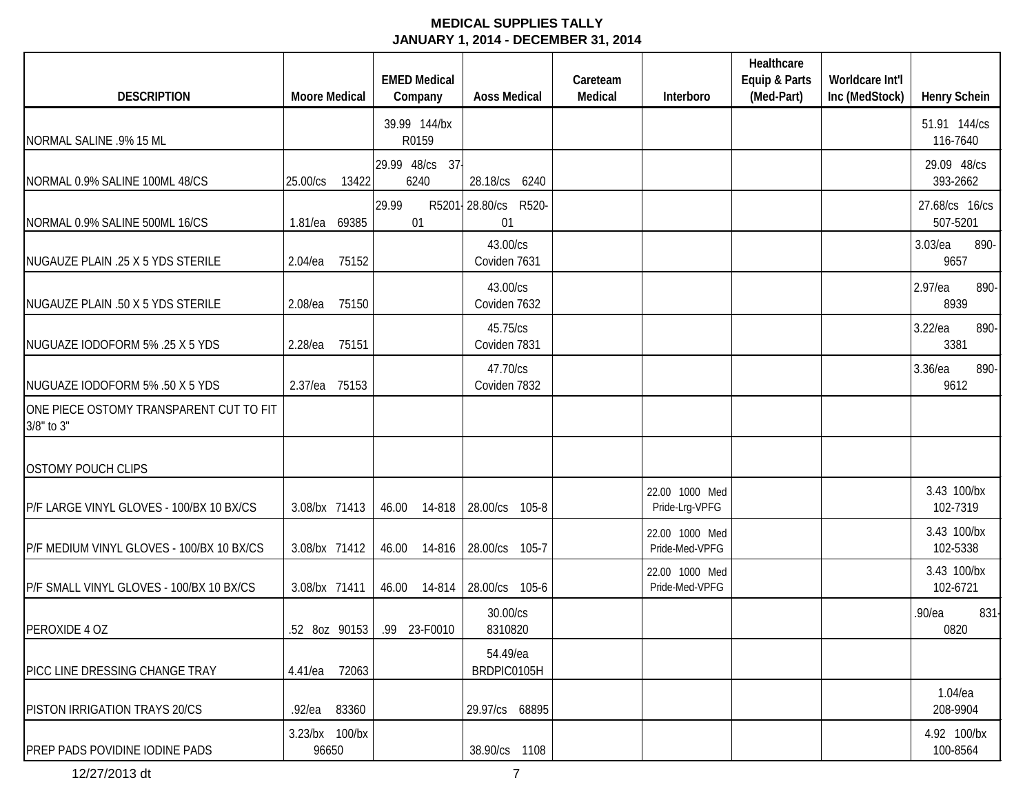| <b>DESCRIPTION</b>                                    | <b>Moore Medical</b>    | <b>EMED Medical</b><br>Company | <b>Aoss Medical</b>           | Careteam<br>Medical | Interboro                        | Healthcare<br>Equip & Parts<br>(Med-Part) | Worldcare Int'l<br>Inc (MedStock) | <b>Henry Schein</b>        |
|-------------------------------------------------------|-------------------------|--------------------------------|-------------------------------|---------------------|----------------------------------|-------------------------------------------|-----------------------------------|----------------------------|
|                                                       |                         | 39.99 144/bx                   |                               |                     |                                  |                                           |                                   | 51.91 144/cs               |
| NORMAL SALINE .9% 15 ML                               |                         | R0159                          |                               |                     |                                  |                                           |                                   | 116-7640                   |
| NORMAL 0.9% SALINE 100ML 48/CS                        | 25.00/cs<br>13422       | 29.99 48/cs 37<br>6240         | 28.18/cs 6240                 |                     |                                  |                                           |                                   | 29.09 48/cs<br>393-2662    |
| NORMAL 0.9% SALINE 500ML 16/CS                        | 1.81/ea 69385           | 29.99<br>01                    | R5201 28.80/cs<br>R520-<br>01 |                     |                                  |                                           |                                   | 27.68/cs 16/cs<br>507-5201 |
| NUGAUZE PLAIN .25 X 5 YDS STERILE                     | 75152<br>$2.04$ /ea     |                                | 43.00/cs<br>Coviden 7631      |                     |                                  |                                           |                                   | 3.03/ea<br>890-<br>9657    |
| NUGAUZE PLAIN .50 X 5 YDS STERILE                     | 75150<br>2.08/ea        |                                | 43.00/cs<br>Coviden 7632      |                     |                                  |                                           |                                   | 2.97/ea<br>890-<br>8939    |
| NUGUAZE IODOFORM 5% .25 X 5 YDS                       | 75151<br>$2.28$ /ea     |                                | 45.75/cs<br>Coviden 7831      |                     |                                  |                                           |                                   | 3.22/ea<br>890-<br>3381    |
| NUGUAZE IODOFORM 5% .50 X 5 YDS                       | 75153<br>2.37/ea        |                                | 47.70/cs<br>Coviden 7832      |                     |                                  |                                           |                                   | 890-<br>3.36/ea<br>9612    |
| ONE PIECE OSTOMY TRANSPARENT CUT TO FIT<br>3/8" to 3" |                         |                                |                               |                     |                                  |                                           |                                   |                            |
| <b>OSTOMY POUCH CLIPS</b>                             |                         |                                |                               |                     |                                  |                                           |                                   |                            |
| P/F LARGE VINYL GLOVES - 100/BX 10 BX/CS              | 3.08/bx 71413           | 46.00<br>14-818                | 28.00/cs 105-8                |                     | 22.00 1000 Med<br>Pride-Lrg-VPFG |                                           |                                   | 3.43 100/bx<br>102-7319    |
| P/F MEDIUM VINYL GLOVES - 100/BX 10 BX/CS             | 3.08/bx 71412           | 46.00 14-816                   | 28.00/cs 105-7                |                     | 22.00 1000 Med<br>Pride-Med-VPFG |                                           |                                   | 3.43 100/bx<br>102-5338    |
| P/F SMALL VINYL GLOVES - 100/BX 10 BX/CS              | 3.08/bx 71411           | 46.00 14-814                   | 28.00/cs 105-6                |                     | 22.00 1000 Med<br>Pride-Med-VPFG |                                           |                                   | 3.43 100/bx<br>102-6721    |
| PEROXIDE 4 OZ                                         |                         | .52 8oz 90153 .99 23-F0010     | 30.00/cs<br>8310820           |                     |                                  |                                           |                                   | .90/ea<br>831<br>0820      |
| PICC LINE DRESSING CHANGE TRAY                        | 4.41/ea 72063           |                                | 54.49/ea<br>BRDPIC0105H       |                     |                                  |                                           |                                   |                            |
| PISTON IRRIGATION TRAYS 20/CS                         | .92/ea 83360            |                                | 29.97/cs 68895                |                     |                                  |                                           |                                   | 1.04/ea<br>208-9904        |
| <b>PREP PADS POVIDINE IODINE PADS</b>                 | 3.23/bx 100/bx<br>96650 |                                | 38.90/cs 1108                 |                     |                                  |                                           |                                   | 4.92 100/bx<br>100-8564    |

12/27/2013 dt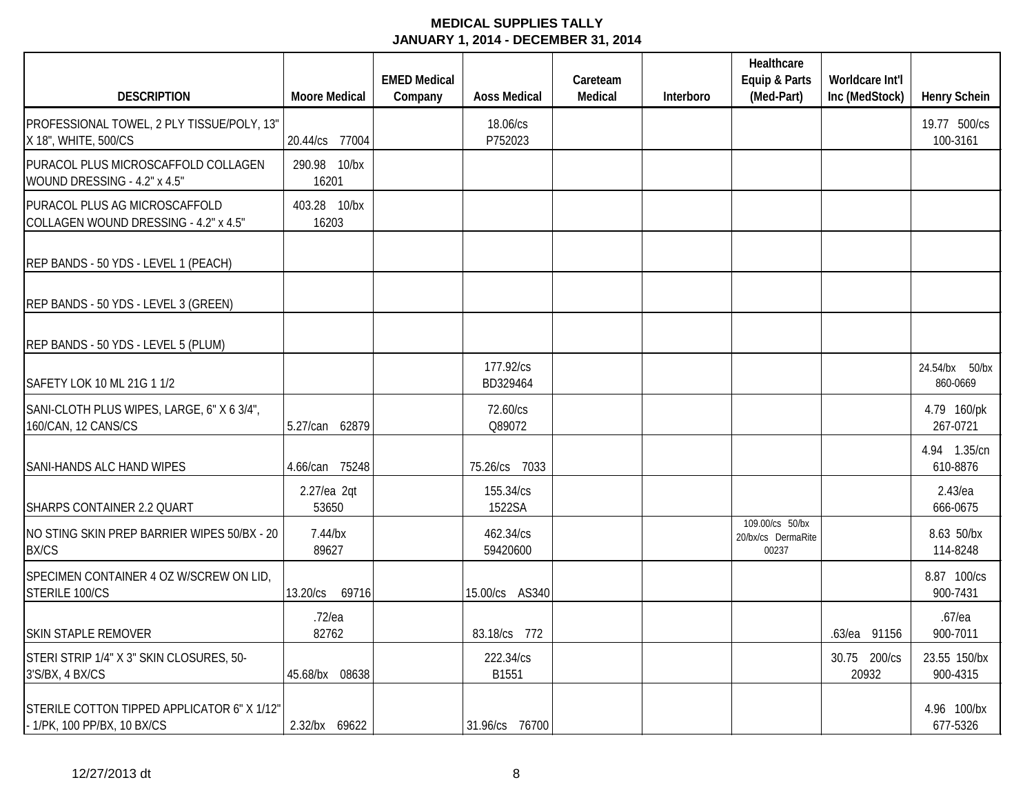|                                                                            |                       | <b>EMED Medical</b> |                       | Careteam |           | Healthcare<br>Equip & Parts                    | Worldcare Int'l       |                            |
|----------------------------------------------------------------------------|-----------------------|---------------------|-----------------------|----------|-----------|------------------------------------------------|-----------------------|----------------------------|
| <b>DESCRIPTION</b>                                                         | <b>Moore Medical</b>  | Company             | <b>Aoss Medical</b>   | Medical  | Interboro | (Med-Part)                                     | Inc (MedStock)        | <b>Henry Schein</b>        |
| PROFESSIONAL TOWEL, 2 PLY TISSUE/POLY, 13"<br>X 18", WHITE, 500/CS         | 20.44/cs 77004        |                     | 18.06/cs<br>P752023   |          |           |                                                |                       | 19.77 500/cs<br>100-3161   |
| PURACOL PLUS MICROSCAFFOLD COLLAGEN<br>WOUND DRESSING - 4.2" x 4.5"        | 290.98 10/bx<br>16201 |                     |                       |          |           |                                                |                       |                            |
| PURACOL PLUS AG MICROSCAFFOLD<br>COLLAGEN WOUND DRESSING - 4.2" x 4.5"     | 403.28 10/bx<br>16203 |                     |                       |          |           |                                                |                       |                            |
| REP BANDS - 50 YDS - LEVEL 1 (PEACH)                                       |                       |                     |                       |          |           |                                                |                       |                            |
| REP BANDS - 50 YDS - LEVEL 3 (GREEN)                                       |                       |                     |                       |          |           |                                                |                       |                            |
| REP BANDS - 50 YDS - LEVEL 5 (PLUM)                                        |                       |                     |                       |          |           |                                                |                       |                            |
| SAFETY LOK 10 ML 21G 1 1/2                                                 |                       |                     | 177.92/cs<br>BD329464 |          |           |                                                |                       | 24.54/bx 50/bx<br>860-0669 |
| SANI-CLOTH PLUS WIPES, LARGE, 6" X 6 3/4",<br>160/CAN, 12 CANS/CS          | 5.27/can 62879        |                     | 72.60/cs<br>Q89072    |          |           |                                                |                       | 4.79 160/pk<br>267-0721    |
| <b>SANI-HANDS ALC HAND WIPES</b>                                           | 4.66/can 75248        |                     | 75.26/cs 7033         |          |           |                                                |                       | 4.94 1.35/cn<br>610-8876   |
| SHARPS CONTAINER 2.2 QUART                                                 | 2.27/ea 2qt<br>53650  |                     | 155.34/cs<br>1522SA   |          |           |                                                |                       | $2.43$ /ea<br>666-0675     |
| NO STING SKIN PREP BARRIER WIPES 50/BX - 20<br><b>BX/CS</b>                | $7.44$ /bx<br>89627   |                     | 462.34/cs<br>59420600 |          |           | 109.00/cs 50/bx<br>20/bx/cs DermaRite<br>00237 |                       | 8.63 50/bx<br>114-8248     |
| SPECIMEN CONTAINER 4 OZ W/SCREW ON LID,<br>STERILE 100/CS                  | 13.20/cs 69716        |                     | 15.00/cs AS340        |          |           |                                                |                       | 8.87 100/cs<br>900-7431    |
| <b>SKIN STAPLE REMOVER</b>                                                 | $.72$ /ea<br>82762    |                     | 83.18/cs 772          |          |           |                                                | .63/ea 91156          | $.67$ /ea<br>900-7011      |
| STERI STRIP 1/4" X 3" SKIN CLOSURES, 50-<br>3'S/BX, 4 BX/CS                | 45.68/bx 08638        |                     | 222.34/cs<br>B1551    |          |           |                                                | 30.75 200/cs<br>20932 | 23.55 150/bx<br>900-4315   |
| STERILE COTTON TIPPED APPLICATOR 6" X 1/12"<br>- 1/PK, 100 PP/BX, 10 BX/CS | 2.32/bx 69622         |                     | 31.96/cs 76700        |          |           |                                                |                       | 4.96 100/bx<br>677-5326    |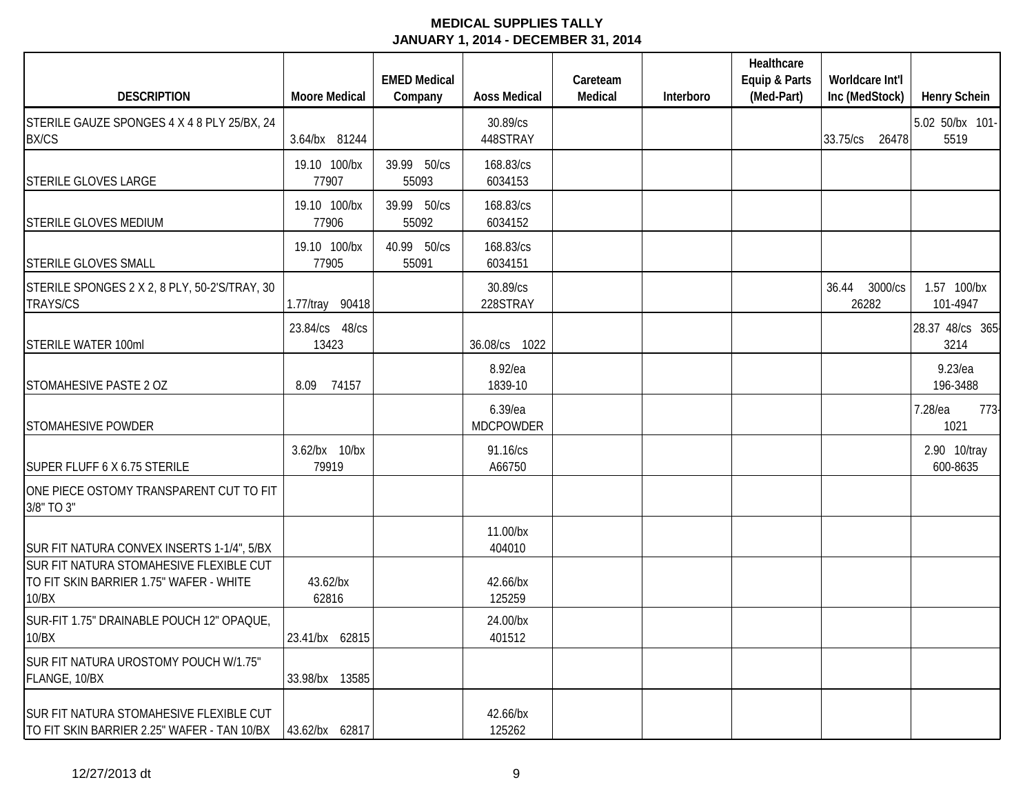| <b>DESCRIPTION</b>                                                                          | <b>Moore Medical</b>    | <b>EMED Medical</b><br>Company | <b>Aoss Medical</b>         | Careteam<br>Medical | Interboro | Healthcare<br>Equip & Parts<br>(Med-Part) | Worldcare Int'l<br>Inc (MedStock) | <b>Henry Schein</b>      |
|---------------------------------------------------------------------------------------------|-------------------------|--------------------------------|-----------------------------|---------------------|-----------|-------------------------------------------|-----------------------------------|--------------------------|
| STERILE GAUZE SPONGES 4 X 4 8 PLY 25/BX, 24<br><b>BX/CS</b>                                 | 3.64/bx 81244           |                                | 30.89/cs<br>448STRAY        |                     |           |                                           | 33.75/cs 26478                    | 5.02 50/bx 101-<br>5519  |
| <b>STERILE GLOVES LARGE</b>                                                                 | 19.10 100/bx<br>77907   | 39.99 50/cs<br>55093           | 168.83/cs<br>6034153        |                     |           |                                           |                                   |                          |
| <b>STERILE GLOVES MEDIUM</b>                                                                | 19.10 100/bx<br>77906   | 39.99 50/cs<br>55092           | 168.83/cs<br>6034152        |                     |           |                                           |                                   |                          |
| <b>STERILE GLOVES SMALL</b>                                                                 | 19.10 100/bx<br>77905   | 40.99 50/cs<br>55091           | 168.83/cs<br>6034151        |                     |           |                                           |                                   |                          |
| STERILE SPONGES 2 X 2, 8 PLY, 50-2'S/TRAY, 30<br><b>TRAYS/CS</b>                            | 1.77/tray 90418         |                                | 30.89/cs<br>228STRAY        |                     |           |                                           | 36.44 3000/cs<br>26282            | 1.57 100/bx<br>101-4947  |
| <b>STERILE WATER 100ml</b>                                                                  | 23.84/cs 48/cs<br>13423 |                                | 36.08/cs 1022               |                     |           |                                           |                                   | 28.37 48/cs 365-<br>3214 |
| STOMAHESIVE PASTE 2 OZ                                                                      | 8.09<br>74157           |                                | 8.92/ea<br>1839-10          |                     |           |                                           |                                   | $9.23$ /ea<br>196-3488   |
| <b>STOMAHESIVE POWDER</b>                                                                   |                         |                                | 6.39/ea<br><b>MDCPOWDER</b> |                     |           |                                           |                                   | 7.28/ea<br>773-<br>1021  |
| SUPER FLUFF 6 X 6.75 STERILE                                                                | 3.62/bx 10/bx<br>79919  |                                | 91.16/cs<br>A66750          |                     |           |                                           |                                   | 2.90 10/tray<br>600-8635 |
| ONE PIECE OSTOMY TRANSPARENT CUT TO FIT<br>3/8" TO 3"                                       |                         |                                |                             |                     |           |                                           |                                   |                          |
| SUR FIT NATURA CONVEX INSERTS 1-1/4", 5/BX                                                  |                         |                                | 11.00/bx<br>404010          |                     |           |                                           |                                   |                          |
| SUR FIT NATURA STOMAHESIVE FLEXIBLE CUT<br>TO FIT SKIN BARRIER 1.75" WAFER - WHITE<br>10/BX | 43.62/bx<br>62816       |                                | 42.66/bx<br>125259          |                     |           |                                           |                                   |                          |
| SUR-FIT 1.75" DRAINABLE POUCH 12" OPAQUE,<br>10/BX                                          | 23.41/bx 62815          |                                | 24.00/bx<br>401512          |                     |           |                                           |                                   |                          |
| SUR FIT NATURA UROSTOMY POUCH W/1.75"<br>FLANGE, 10/BX                                      | 33.98/bx 13585          |                                |                             |                     |           |                                           |                                   |                          |
| SUR FIT NATURA STOMAHESIVE FLEXIBLE CUT<br>TO FIT SKIN BARRIER 2.25" WAFER - TAN 10/BX      | 43.62/bx 62817          |                                | 42.66/bx<br>125262          |                     |           |                                           |                                   |                          |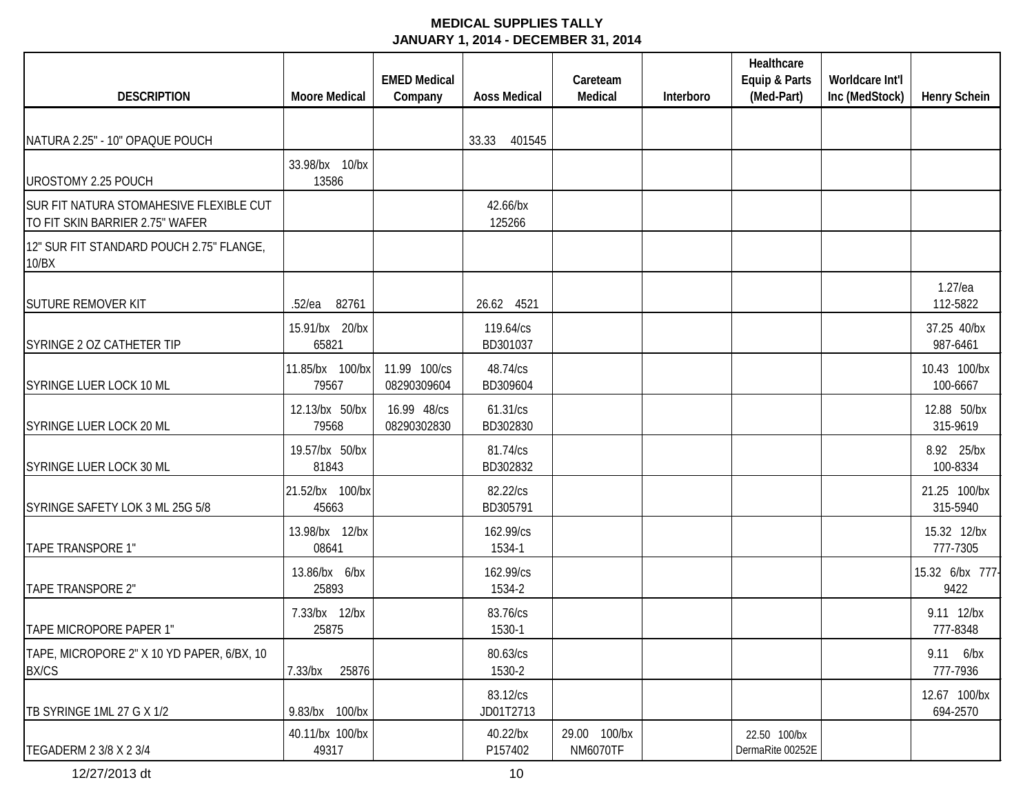|                                                                            |                          | <b>EMED Medical</b>         |                       | Careteam                        |           | Healthcare<br>Equip & Parts      | Worldcare Int'l |                          |
|----------------------------------------------------------------------------|--------------------------|-----------------------------|-----------------------|---------------------------------|-----------|----------------------------------|-----------------|--------------------------|
| <b>DESCRIPTION</b>                                                         | <b>Moore Medical</b>     | Company                     | <b>Aoss Medical</b>   | Medical                         | Interboro | (Med-Part)                       | Inc (MedStock)  | <b>Henry Schein</b>      |
| NATURA 2.25" - 10" OPAQUE POUCH                                            |                          |                             | 401545<br>33.33       |                                 |           |                                  |                 |                          |
| UROSTOMY 2.25 POUCH                                                        | 33.98/bx 10/bx<br>13586  |                             |                       |                                 |           |                                  |                 |                          |
| SUR FIT NATURA STOMAHESIVE FLEXIBLE CUT<br>TO FIT SKIN BARRIER 2.75" WAFER |                          |                             | 42.66/bx<br>125266    |                                 |           |                                  |                 |                          |
| 12" SUR FIT STANDARD POUCH 2.75" FLANGE,<br>10/BX                          |                          |                             |                       |                                 |           |                                  |                 |                          |
| <b>SUTURE REMOVER KIT</b>                                                  | 82761<br>.52/ea          |                             | 26.62 4521            |                                 |           |                                  |                 | $1.27$ /ea<br>112-5822   |
| SYRINGE 2 OZ CATHETER TIP                                                  | 15.91/bx 20/bx<br>65821  |                             | 119.64/cs<br>BD301037 |                                 |           |                                  |                 | 37.25 40/bx<br>987-6461  |
| SYRINGE LUER LOCK 10 ML                                                    | 11.85/bx 100/bx<br>79567 | 11.99 100/cs<br>08290309604 | 48.74/cs<br>BD309604  |                                 |           |                                  |                 | 10.43 100/bx<br>100-6667 |
| SYRINGE LUER LOCK 20 ML                                                    | 12.13/bx 50/bx<br>79568  | 16.99 48/cs<br>08290302830  | 61.31/cs<br>BD302830  |                                 |           |                                  |                 | 12.88 50/bx<br>315-9619  |
| SYRINGE LUER LOCK 30 ML                                                    | 19.57/bx 50/bx<br>81843  |                             | 81.74/cs<br>BD302832  |                                 |           |                                  |                 | 8.92 25/bx<br>100-8334   |
| SYRINGE SAFETY LOK 3 ML 25G 5/8                                            | 21.52/bx 100/bx<br>45663 |                             | 82.22/cs<br>BD305791  |                                 |           |                                  |                 | 21.25 100/bx<br>315-5940 |
| TAPE TRANSPORE 1"                                                          | 13.98/bx 12/bx<br>08641  |                             | 162.99/cs<br>1534-1   |                                 |           |                                  |                 | 15.32 12/bx<br>777-7305  |
| TAPE TRANSPORE 2"                                                          | 13.86/bx 6/bx<br>25893   |                             | 162.99/cs<br>1534-2   |                                 |           |                                  |                 | 15.32 6/bx 777-<br>9422  |
| TAPE MICROPORE PAPER 1"                                                    | 7.33/bx 12/bx<br>25875   |                             | 83.76/cs<br>1530-1    |                                 |           |                                  |                 | 9.11 12/bx<br>777-8348   |
| TAPE, MICROPORE 2" X 10 YD PAPER, 6/BX, 10<br><b>BX/CS</b>                 | 7.33/bx<br>25876         |                             | 80.63/cs<br>1530-2    |                                 |           |                                  |                 | 9.11 6/bx<br>777-7936    |
| TB SYRINGE 1ML 27 G X 1/2                                                  | 9.83/bx 100/bx           |                             | 83.12/cs<br>JD01T2713 |                                 |           |                                  |                 | 12.67 100/bx<br>694-2570 |
| TEGADERM 2 3/8 X 2 3/4                                                     | 40.11/bx 100/bx<br>49317 |                             | 40.22/bx<br>P157402   | 29.00 100/bx<br><b>NM6070TF</b> |           | 22.50 100/bx<br>DermaRite 00252E |                 |                          |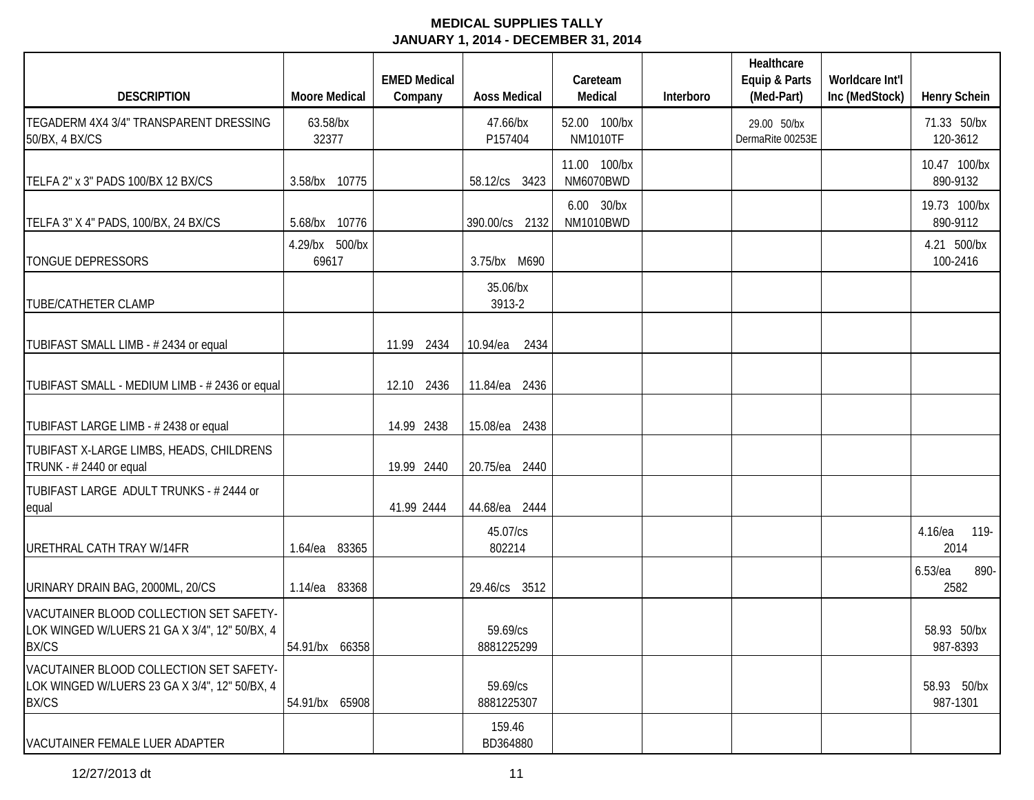|                                                                                                          |                         | <b>EMED Medical</b> |                        | Careteam                        |           | Healthcare<br>Equip & Parts     | Worldcare Int'l |                            |
|----------------------------------------------------------------------------------------------------------|-------------------------|---------------------|------------------------|---------------------------------|-----------|---------------------------------|-----------------|----------------------------|
| <b>DESCRIPTION</b>                                                                                       | <b>Moore Medical</b>    | Company             | <b>Aoss Medical</b>    | Medical                         | Interboro | (Med-Part)                      | Inc (MedStock)  | <b>Henry Schein</b>        |
| TEGADERM 4X4 3/4" TRANSPARENT DRESSING<br>50/BX, 4 BX/CS                                                 | 63.58/bx<br>32377       |                     | 47.66/bx<br>P157404    | 52.00 100/bx<br><b>NM1010TF</b> |           | 29.00 50/bx<br>DermaRite 00253E |                 | 71.33 50/bx<br>120-3612    |
| TELFA 2" x 3" PADS 100/BX 12 BX/CS                                                                       | 3.58/bx 10775           |                     | 58.12/cs 3423          | 11.00 100/bx<br>NM6070BWD       |           |                                 |                 | 10.47 100/bx<br>890-9132   |
| TELFA 3" X 4" PADS, 100/BX, 24 BX/CS                                                                     | 5.68/bx 10776           |                     | 390.00/cs 2132         | 6.00 30/bx<br>NM1010BWD         |           |                                 |                 | 19.73 100/bx<br>890-9112   |
| <b>TONGUE DEPRESSORS</b>                                                                                 | 4.29/bx 500/bx<br>69617 |                     | 3.75/bx M690           |                                 |           |                                 |                 | 4.21 500/bx<br>100-2416    |
| <b>TUBE/CATHETER CLAMP</b>                                                                               |                         |                     | 35.06/bx<br>3913-2     |                                 |           |                                 |                 |                            |
| TUBIFAST SMALL LIMB - #2434 or equal                                                                     |                         | 11.99 2434          | 10.94/ea<br>2434       |                                 |           |                                 |                 |                            |
| TUBIFAST SMALL - MEDIUM LIMB - # 2436 or equal                                                           |                         | 12.10 2436          | 11.84/ea<br>2436       |                                 |           |                                 |                 |                            |
| TUBIFAST LARGE LIMB - # 2438 or equal                                                                    |                         | 14.99 2438          | 15.08/ea 2438          |                                 |           |                                 |                 |                            |
| TUBIFAST X-LARGE LIMBS, HEADS, CHILDRENS<br>TRUNK - #2440 or equal                                       |                         | 19.99 2440          | 20.75/ea 2440          |                                 |           |                                 |                 |                            |
| TUBIFAST LARGE ADULT TRUNKS - # 2444 or<br>equal                                                         |                         | 41.99 2444          | 44.68/ea 2444          |                                 |           |                                 |                 |                            |
| URETHRAL CATH TRAY W/14FR                                                                                | 1.64/ea 83365           |                     | 45.07/cs<br>802214     |                                 |           |                                 |                 | 4.16/ea<br>119-<br>2014    |
| URINARY DRAIN BAG, 2000ML, 20/CS                                                                         | 1.14/ea 83368           |                     | 29.46/cs 3512          |                                 |           |                                 |                 | $6.53$ /ea<br>890-<br>2582 |
| VACUTAINER BLOOD COLLECTION SET SAFETY-<br>LOK WINGED W/LUERS 21 GA X 3/4", 12" 50/BX, 4<br><b>BX/CS</b> | 54.91/bx 66358          |                     | 59.69/cs<br>8881225299 |                                 |           |                                 |                 | 58.93 50/bx<br>987-8393    |
| VACUTAINER BLOOD COLLECTION SET SAFETY-<br>LOK WINGED W/LUERS 23 GA X 3/4", 12" 50/BX, 4<br><b>BX/CS</b> | 54.91/bx 65908          |                     | 59.69/cs<br>8881225307 |                                 |           |                                 |                 | 58.93 50/bx<br>987-1301    |
| VACUTAINER FEMALE LUER ADAPTER                                                                           |                         |                     | 159.46<br>BD364880     |                                 |           |                                 |                 |                            |